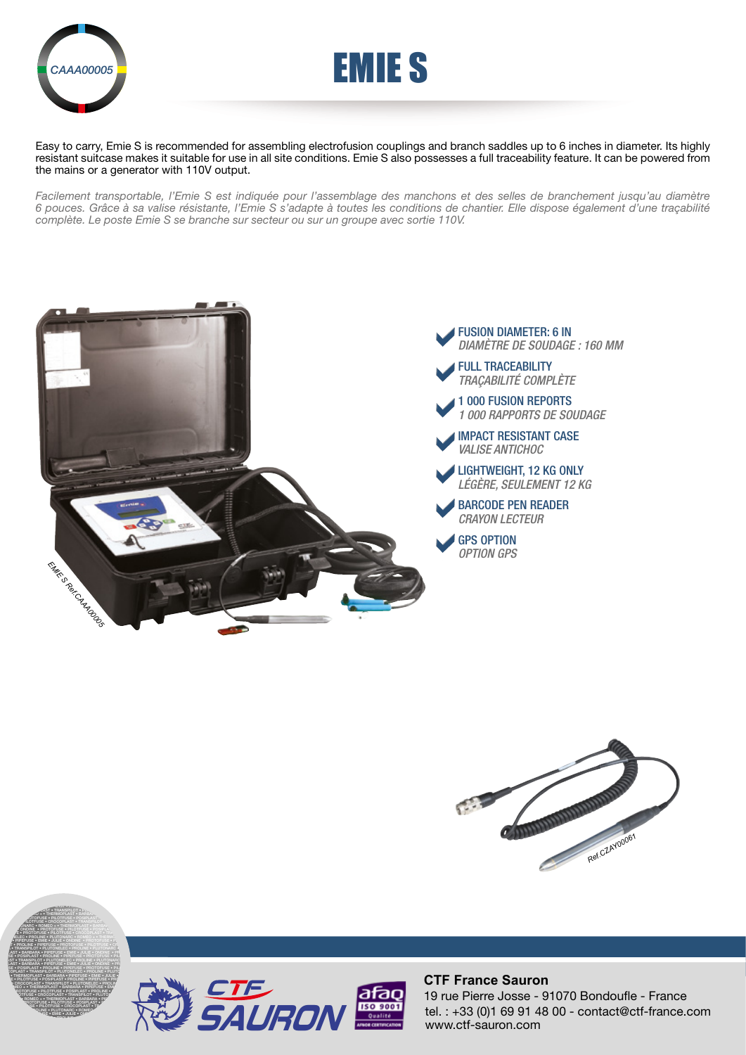

PROLINE • PIPEFUSE • PROTOFUSE • PILOTFUSE • CROCOPLAST • TRANSPILOT • THERMOPLAST • PIPEFUSE • EMIE • PILOTFUSE • PILOTFUSE • PILOTFUSE • PILOTFUSE • PRODUCTS **PILOT • TRANSPILOT • PLUT PLOTON • THERMOPLAST • BARBARA • JULIE • PILOTFUSE • POSIPLAST • PROLINE • PROPERTIES PROTOCOPLAST • TRANSPILOT • PLUT OF PROPERTIES PROVIDED + • THERMOPLAST • BARBAR EMIE • PROTOFUSE • PILOTFUSE • POSIPLAST • PROTOFUSE E** • PROTOFUSE • PILOTFUSE • CROCOPLAST • TRANSPILOTED **RE ELEC • PROLINE • PLUTONARC • ROMEO + • THERMOPLAST •** FARBARA • PIPEFUSE • EMIE • JULIE • ONDINE • PROTOFUSE • P.<br>T • PROLINE • PIPEFUSE • PROTOFUSE • PILOTFUSE • CROCOPLAST • PROTOFUSE • PROTOFUSE • CROCOPLAST • PROTOFUSE • • TRANSPILOT • PLUTONELEC • PROLINE • PLUTONARC • ROMEO + LAST • BARBARA • PIPEFUSE • EMIE • JULIE • ONDINE • PROTO



Easy to carry, Emie S is recommended for assembling electrofusion couplings and branch saddles up to 6 inches in diameter. Its highly resistant suitcase makes it suitable for use in all site conditions. Emie S also possesses a full traceability feature. It can be powered from the mains or a generator with 110V output.

*Facilement transportable, l'Emie S est indiquée pour l'assemblage des manchons et des selles de branchement jusqu'au diamètre 6 pouces. Grâce à sa valise résistante, l'Emie S s'adapte à toutes les conditions de chantier. Elle dispose également d'une traçabilité complète. Le poste Emie S se branche sur secteur ou sur un groupe avec sortie 110V.*







## **CTF France Sauron**

tel. : +33 (0)1 69 91 48 00 - contact@ctf-france.com www.ctf-sauron.com 19 rue Pierre Josse - 91070 Bondoufle - France